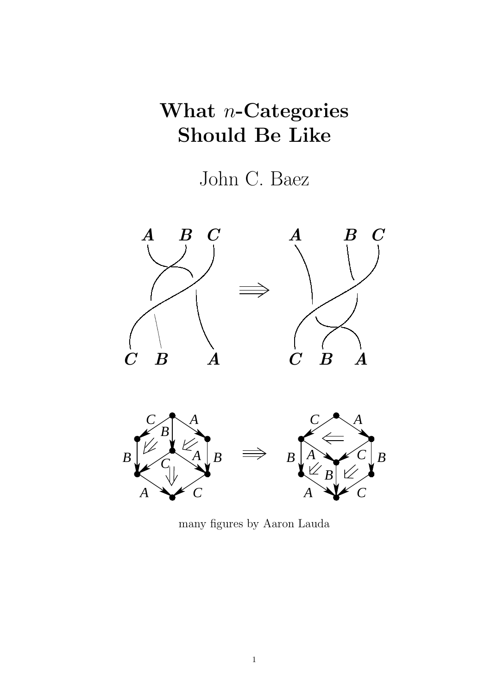### What *n*-Categories Should Be Like

John C. Baez



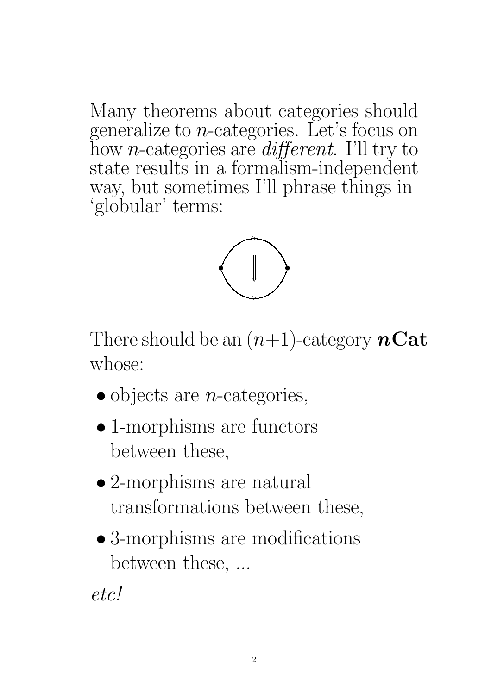Many theorems about categories should generalize to  $n$ -categories. Let's focus on how *n*-categories are  $differential$ . I'll try to state results in a formalism-independent way, but sometimes I'll phrase things in 'globular' terms:



There should be an  $(n+1)$ -category  $n\text{Cat}$ whose:

- $\bullet$  objects are *n*-categories,
- 1-morphisms are functors between these,
- 2-morphisms are natural transformations between these,
- 3-morphisms are modifications between these, ...

etc!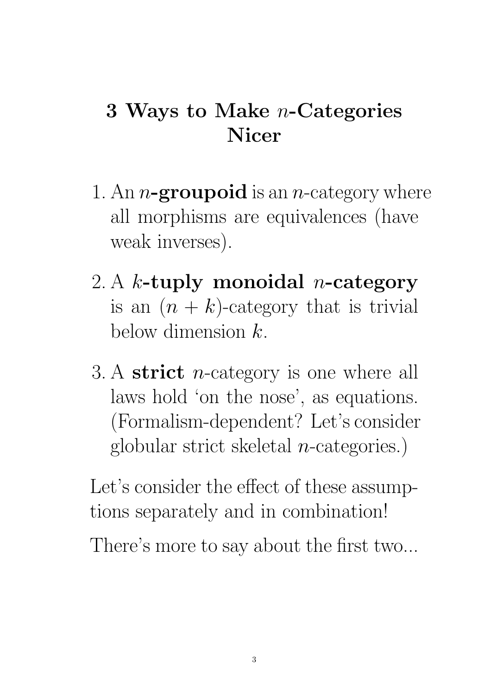## 3 Ways to Make n-Categories Nicer

- 1. An *n*-groupoid is an *n*-category where all morphisms are equivalences (have weak inverses).
- 2. A k-tuply monoidal *n*-category is an  $(n + k)$ -category that is trivial below dimension  $k$ .
- 3. A strict *n*-category is one where all laws hold 'on the nose', as equations. (Formalism-dependent? Let's consider globular strict skeletal  $n$ -categories.)

Let's consider the effect of these assumptions separately and in combination!

There's more to say about the first two...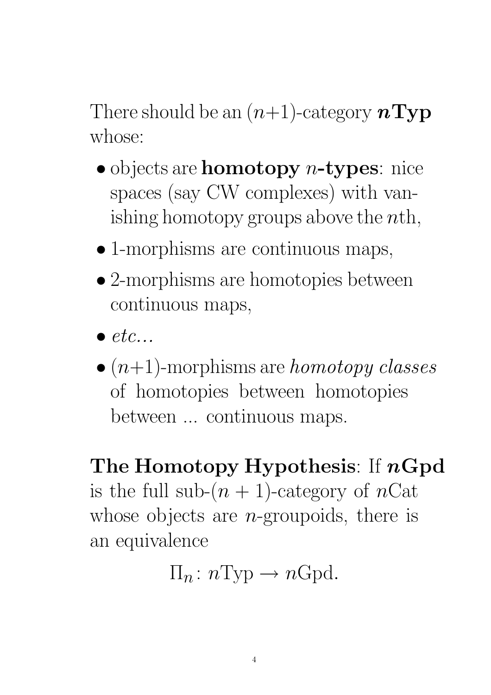There should be an  $(n+1)$ -category  $nType$ whose:

- objects are **homotopy**  $n$ -types: nice spaces (say CW complexes) with vanishing homotopy groups above the  $nth$ ,
- 1-morphisms are continuous maps,
- 2-morphisms are homotopies between continuous maps,
- $\bullet$  etc...
- $\bullet$  (*n*+1)-morphisms are *homotopy classes* of homotopies between homotopies between ... continuous maps.

The Homotopy Hypothesis: If  $nGpd$ is the full sub- $(n + 1)$ -category of nCat whose objects are *n*-groupoids, there is an equivalence

$$
\Pi_n: n \text{Typ} \to n \text{Gpd}.
$$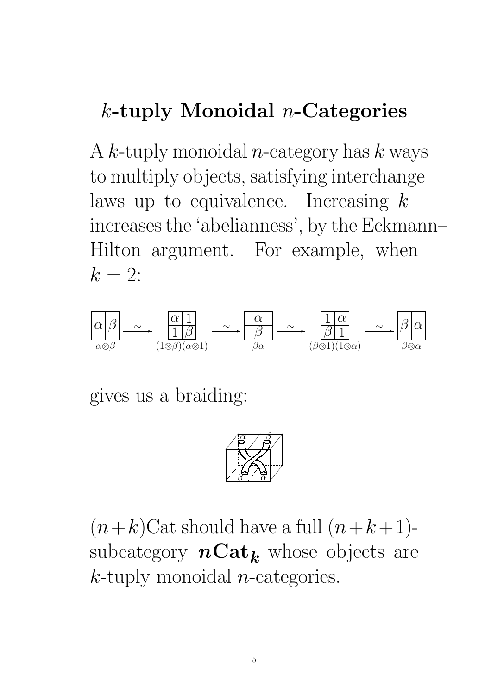## $k$ -tuply Monoidal *n*-Categories

A k-tuply monoidal *n*-category has  $k$  ways to multiply objects, satisfying interchange laws up to equivalence. Increasing  $k$ increases the 'abelianness', by the Eckmann– Hilton argument. For example, when  $k = 2$ :



gives us a braiding:



 $(n+k)$ Cat should have a full  $(n+k+1)$ subcategory  $n\text{Cat}_k$  whose objects are  $k$ -tuply monoidal *n*-categories.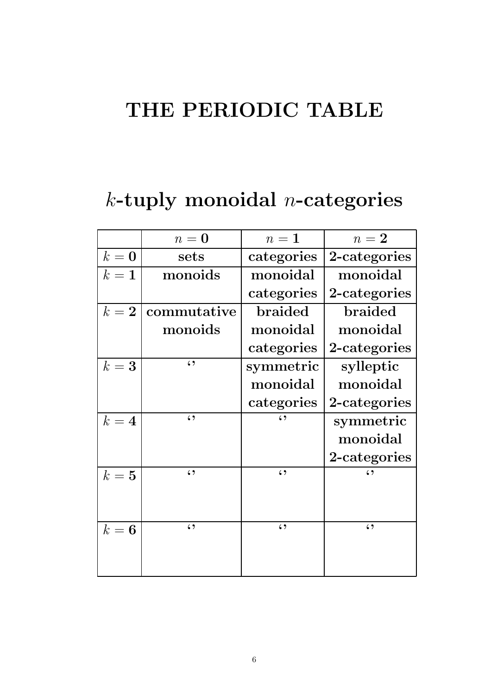## THE PERIODIC TABLE

# $k$ -tuply monoidal *n*-categories

|         | $n=0$       | $n=1$        | $n=2$        |
|---------|-------------|--------------|--------------|
| $k = 0$ | sets        | categories   | 2-categories |
| $k=1$   | monoids     | monoidal     | monoidal     |
|         |             | categories   | 2-categories |
| $k=2$   | commutative | braided      | braided      |
|         | monoids     | monoidal     | monoidal     |
|         |             | categories   | 2-categories |
| $k=3$   | $\zeta$     | symmetric    | sylleptic    |
|         |             | monoidal     | monoidal     |
|         |             | categories   | 2-categories |
| $k=4$   | $\zeta$     | $\epsilon$ , | symmetric    |
|         |             |              | monoidal     |
|         |             |              | 2-categories |
| $k=5$   | $\zeta$     | 69           | $\epsilon$ , |
|         |             |              |              |
|         |             |              |              |
| $k=6$   | $\zeta$     | $\zeta$      | $\zeta$      |
|         |             |              |              |
|         |             |              |              |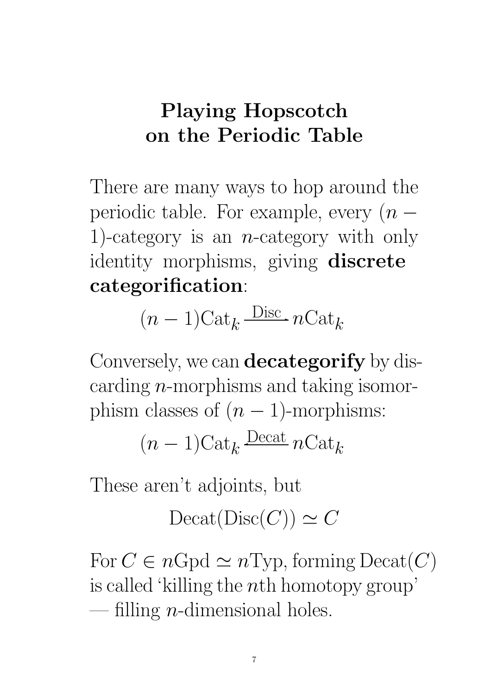### Playing Hopscotch on the Periodic Table

There are many ways to hop around the periodic table. For example, every  $(n -$ 1)-category is an *n*-category with only identity morphisms, giving discrete categorification:

$$
(n-1)\text{Cat}_k \xrightarrow{\text{Disc}} n\text{Cat}_k
$$

Conversely, we can **decategorify** by discarding  $n$ -morphisms and taking isomorphism classes of  $(n - 1)$ -morphisms:

$$
(n-1)\mathrm{Cat}_k\xrightarrow{\mathrm{Decat}}n\mathrm{Cat}_k
$$

These aren't adjoints, but

 $\mathrm{Decat}(\mathrm{Disc}(C)) \simeq C$ 

For  $C \in nGpd \simeq nTyp$ , forming Decat $(C)$ is called 'killing the nth homotopy group' — filling *n*-dimensional holes.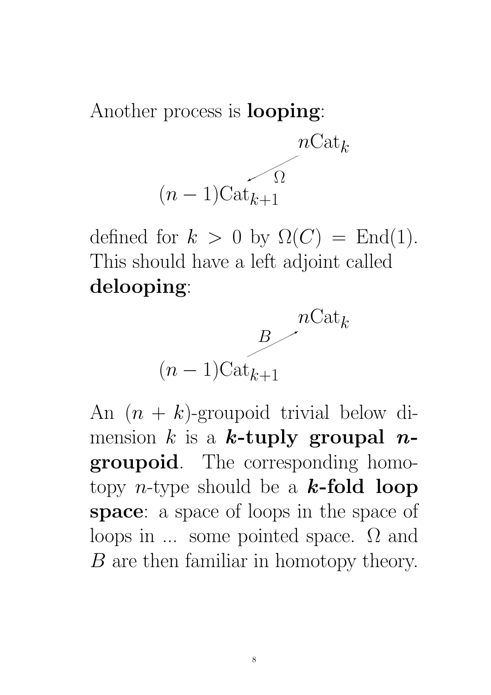Another process is looping:



defined for  $k > 0$  by  $\Omega(C) = \text{End}(1)$ . This should have a left adjoint called delooping:



An  $(n + k)$ -groupoid trivial below dimension k is a k-tuply groupal  $n$ groupoid. The corresponding homotopy *n*-type should be a **k-fold loop** space: a space of loops in the space of loops in ... some pointed space. Ω and B are then familiar in homotopy theory.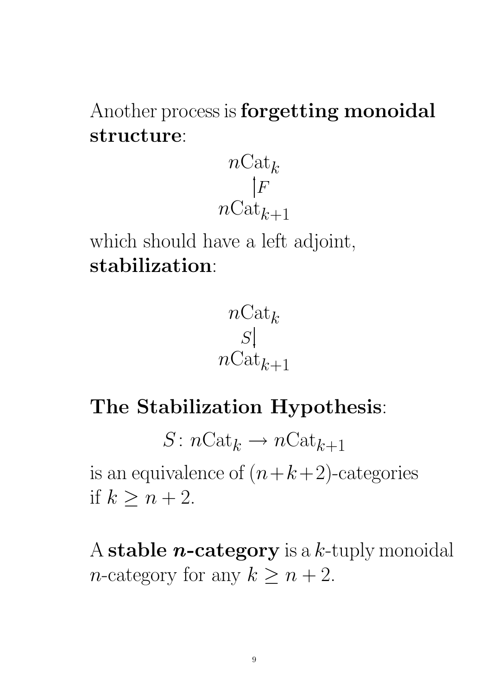Another process is **forgetting monoidal** structure:



which should have a left adjoint, stabilization:



## The Stabilization Hypothesis:

 $S: n\text{Cat}_k \to n\text{Cat}_{k+1}$ is an equivalence of  $(n+k+2)$ -categories if  $k \geq n+2$ .

A stable *n*-category is a  $k$ -tuply monoidal *n*-category for any  $k \geq n+2$ .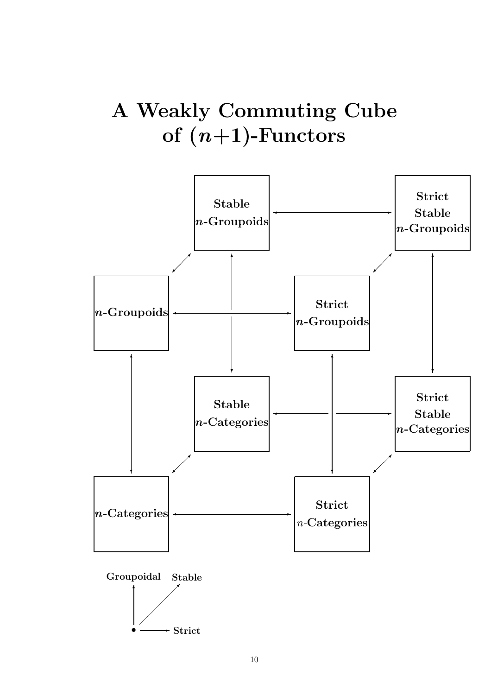## A Weakly Commuting Cube of  $(n+1)$ -Functors

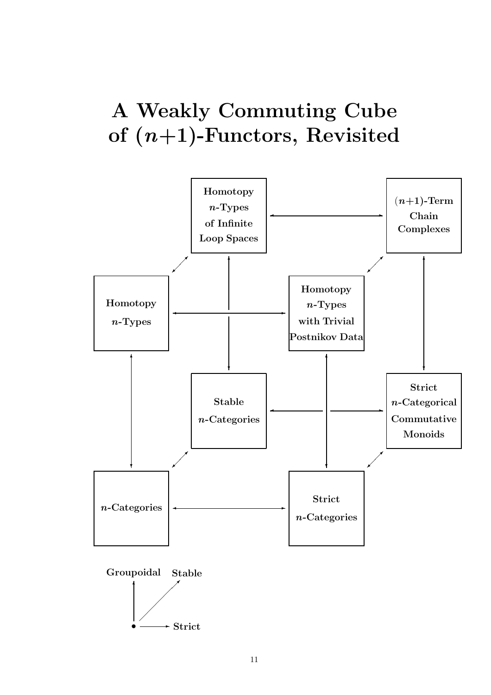## A Weakly Commuting Cube of  $(n+1)$ -Functors, Revisited

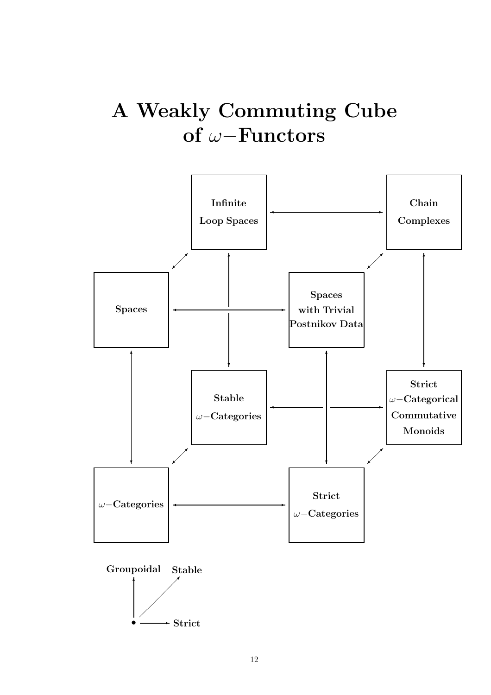## A Weakly Commuting Cube of ω−Functors